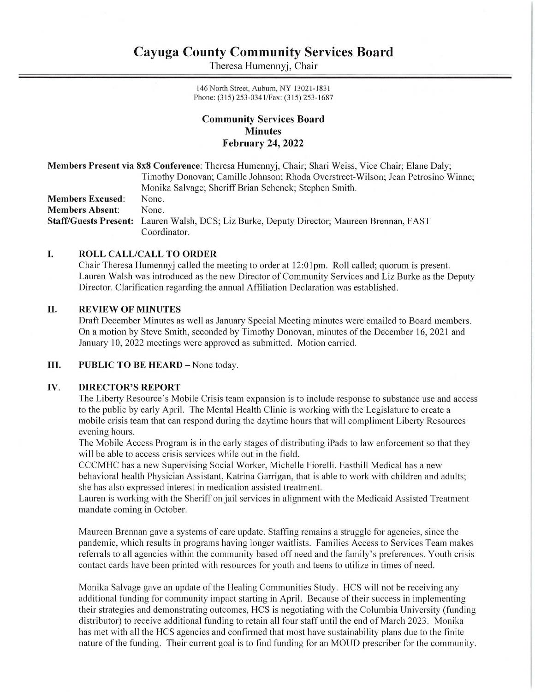# Cayuga County Community Services Board **Cayuga County Comn**<br>Theresa Hum Cayuga County Comn<br>Theresa Hum

Theresa Humennyj, Chair

146 North Street, Auburn, NY 13021-1831 Phone: (315) 253-0341/Fax: (315) 253-1687

# Community Services Board Minutes February 24, 2022

|                         | Members Present via 8x8 Conference: Theresa Humennyj, Chair; Shari Weiss, Vice Chair; Elane Daly; |
|-------------------------|---------------------------------------------------------------------------------------------------|
|                         | Timothy Donovan; Camille Johnson; Rhoda Overstreet-Wilson; Jean Petrosino Winne;                  |
|                         | Monika Salvage; Sheriff Brian Schenck; Stephen Smith.                                             |
| <b>Members Excused:</b> | None.                                                                                             |
| <b>Members Absent:</b>  | None.                                                                                             |
|                         | Staff/Guests Present: Lauren Walsh, DCS; Liz Burke, Deputy Director; Maureen Brennan, FAST        |
|                         | Coordinator.                                                                                      |

### I. ROLL CALL/CALL TO ORDER

Chair Theresa Humennyj called the meeting to order at 12:01pm. Roll called; quorum is present. Lauren Walsh was introduced as the new Director of Community Services and Liz Burke as the Deputy Director. Clarification regarding the annual Affiliation Declaration was established.

### I. REVIEW OF MINUTES

Draft December Minutes as well as January Special Meeting minutes were emailed to Board members. On a motion by Steve Smith, seconded by Timothy Donovan, minutes of the December 16, 2021 and January 10, 2022 meetings were approved as submitted. Motion carried.

### Il. PUBLIC TO BE HEARD — None today.

### IV. DIRECTOR'S REPORT

The Liberty Resource's Mobile Crisis team expansion is to include response to substance use and access to the public by early April. The Mental Health Clinic is working with the Legislature to create a mobile crisis team that can respond during the daytime hours that will compliment Liberty Resources evening hours.

The Mobile Access Program is in the early stages of distributing iPads to law enforcement so that they will be able to access crisis services while out in the field.

CCCMHC has a new Supervising Social Worker, Michelle Fiorelli. Easthill Medical has a new behavioral health Physician Assistant, Katrina Garrigan, that is able to work with children and adults; she has also expressed interest in medication assisted treatment.

Lauren is working with the Sheriff on jail services in alignment with the Medicaid Assisted Treatment mandate coming in October.

Maureen Brennan gave a systems of care update. Staffing remains a struggle for agencies, since the pandemic, which results in programs having longer waitlists. Families Access to Services Team makes referrals to all agencies within the community based off need and the family's preferences. Youth crisis contact cards have been printed with resources for youth and teens to utilize in times of need.

Monika Salvage gave an update of the Healing Communities Study. HCS will not be receiving any additional funding for community impact starting in April. Because of their success in implementing their strategies and demonstrating outcomes, HCS is negotiating with the Columbia University (funding distributor) to receive additional funding to retain all four staff until the end of March 2023. Monika has met with all the HCS agencies and confirmed that most have sustainability plans due to the finite nature of the funding. Their current goal is to find funding for an MOUD prescriber for the community.